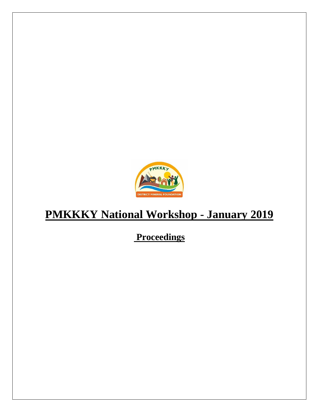

# **PMKKKY National Workshop - January 2019**

## **Proceedings**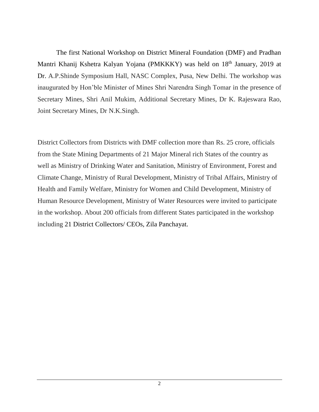The first National Workshop on District Mineral Foundation (DMF) and Pradhan Mantri Khanij Kshetra Kalyan Yojana (PMKKKY) was held on 18<sup>th</sup> January, 2019 at Dr. A.P.Shinde Symposium Hall, NASC Complex, Pusa, New Delhi. The workshop was inaugurated by Hon'ble Minister of Mines Shri Narendra Singh Tomar in the presence of Secretary Mines, Shri Anil Mukim, Additional Secretary Mines, Dr K. Rajeswara Rao, Joint Secretary Mines, Dr N.K.Singh.

District Collectors from Districts with DMF collection more than Rs. 25 crore, officials from the State Mining Departments of 21 Major Mineral rich States of the country as well as Ministry of Drinking Water and Sanitation, Ministry of Environment, Forest and Climate Change, Ministry of Rural Development, Ministry of Tribal Affairs, Ministry of Health and Family Welfare, Ministry for Women and Child Development, Ministry of Human Resource Development, Ministry of Water Resources were invited to participate in the workshop. About 200 officials from different States participated in the workshop including 21 District Collectors/ CEOs, Zila Panchayat.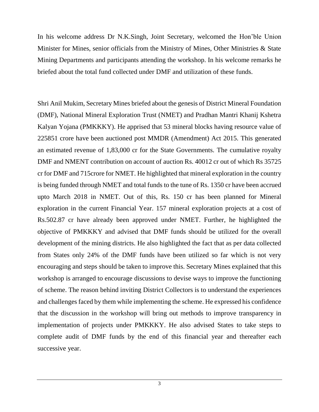In his welcome address Dr N.K.Singh, Joint Secretary, welcomed the Hon'ble Union Minister for Mines, senior officials from the Ministry of Mines, Other Ministries & State Mining Departments and participants attending the workshop. In his welcome remarks he briefed about the total fund collected under DMF and utilization of these funds.

Shri Anil Mukim, Secretary Mines briefed about the genesis of District Mineral Foundation (DMF), National Mineral Exploration Trust (NMET) and Pradhan Mantri Khanij Kshetra Kalyan Yojana (PMKKKY). He apprised that 53 mineral blocks having resource value of 225851 crore have been auctioned post MMDR (Amendment) Act 2015. This generated an estimated revenue of 1,83,000 cr for the State Governments. The cumulative royalty DMF and NMENT contribution on account of auction Rs. 40012 cr out of which Rs 35725 cr for DMF and 715crore for NMET. He highlighted that mineral exploration in the country is being funded through NMET and total funds to the tune of Rs. 1350 cr have been accrued upto March 2018 in NMET. Out of this, Rs. 150 cr has been planned for Mineral exploration in the current Financial Year. 157 mineral exploration projects at a cost of Rs.502.87 cr have already been approved under NMET. Further, he highlighted the objective of PMKKKY and advised that DMF funds should be utilized for the overall development of the mining districts. He also highlighted the fact that as per data collected from States only 24% of the DMF funds have been utilized so far which is not very encouraging and steps should be taken to improve this. Secretary Mines explained that this workshop is arranged to encourage discussions to devise ways to improve the functioning of scheme. The reason behind inviting District Collectors is to understand the experiences and challenges faced by them while implementing the scheme. He expressed his confidence that the discussion in the workshop will bring out methods to improve transparency in implementation of projects under PMKKKY. He also advised States to take steps to complete audit of DMF funds by the end of this financial year and thereafter each successive year.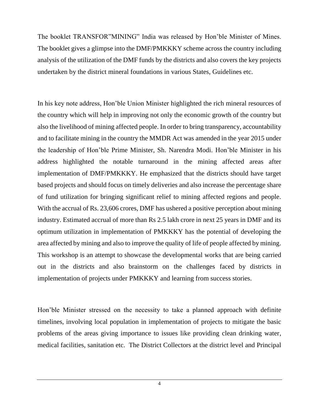The booklet TRANSFOR"MINING" India was released by Hon'ble Minister of Mines. The booklet gives a glimpse into the DMF/PMKKKY scheme across the country including analysis of the utilization of the DMF funds by the districts and also covers the key projects undertaken by the district mineral foundations in various States, Guidelines etc.

In his key note address, Hon'ble Union Minister highlighted the rich mineral resources of the country which will help in improving not only the economic growth of the country but also the livelihood of mining affected people. In order to bring transparency, accountability and to facilitate mining in the country the MMDR Act was amended in the year 2015 under the leadership of Hon'ble Prime Minister, Sh. Narendra Modi. Hon'ble Minister in his address highlighted the notable turnaround in the mining affected areas after implementation of DMF/PMKKKY. He emphasized that the districts should have target based projects and should focus on timely deliveries and also increase the percentage share of fund utilization for bringing significant relief to mining affected regions and people. With the accrual of Rs. 23,606 crores, DMF has ushered a positive perception about mining industry. Estimated accrual of more than Rs 2.5 lakh crore in next 25 years in DMF and its optimum utilization in implementation of PMKKKY has the potential of developing the area affected by mining and also to improve the quality of life of people affected by mining. This workshop is an attempt to showcase the developmental works that are being carried out in the districts and also brainstorm on the challenges faced by districts in implementation of projects under PMKKKY and learning from success stories.

Hon'ble Minister stressed on the necessity to take a planned approach with definite timelines, involving local population in implementation of projects to mitigate the basic problems of the areas giving importance to issues like providing clean drinking water, medical facilities, sanitation etc. The District Collectors at the district level and Principal

4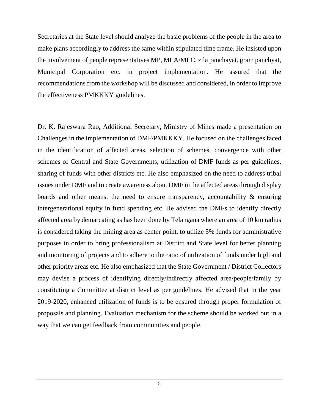Secretaries at the State level should analyze the basic problems of the people in the area to make plans accordingly to address the same within stipulated time frame. He insisted upon the involvement of people representatives MP, MLA/MLC, zila panchayat, gram panchyat, Municipal Corporation etc. in project implementation. He assured that the recommendations from the workshop will be discussed and considered, in order to improve the effectiveness PMKKKY guidelines.

Dr. K. Rajeswara Rao, Additional Secretary, Ministry of Mines made a presentation on Challenges in the implementation of DMF/PMKKKY. He focused on the challenges faced in the identification of affected areas, selection of schemes, convergence with other schemes of Central and State Governments, utilization of DMF funds as per guidelines, sharing of funds with other districts etc. He also emphasized on the need to address tribal issues under DMF and to create awareness about DMF in the affected areas through display boards and other means, the need to ensure transparency, accountability & ensuring intergenerational equity in fund spending etc. He advised the DMFs to identify directly affected area by demarcating as has been done by Telangana where an area of 10 km radius is considered taking the mining area as center point, to utilize 5% funds for administrative purposes in order to bring professionalism at District and State level for better planning and monitoring of projects and to adhere to the ratio of utilization of funds under high and other priority areas etc. He also emphasized that the State Government / District Collectors may devise a process of identifying directly/indirectly affected area/people/family by constituting a Committee at district level as per guidelines. He advised that in the year 2019-2020, enhanced utilization of funds is to be ensured through proper formulation of proposals and planning. Evaluation mechanism for the scheme should be worked out in a way that we can get feedback from communities and people.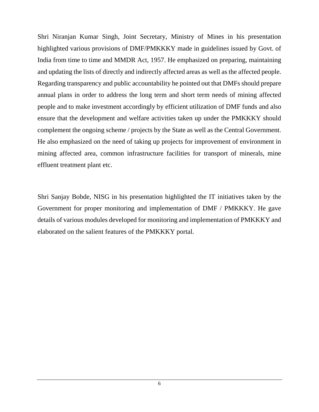Shri Niranjan Kumar Singh, Joint Secretary, Ministry of Mines in his presentation highlighted various provisions of DMF/PMKKKY made in guidelines issued by Govt. of India from time to time and MMDR Act, 1957. He emphasized on preparing, maintaining and updating the lists of directly and indirectly affected areas as well as the affected people. Regarding transparency and public accountability he pointed out that DMFs should prepare annual plans in order to address the long term and short term needs of mining affected people and to make investment accordingly by efficient utilization of DMF funds and also ensure that the development and welfare activities taken up under the PMKKKY should complement the ongoing scheme / projects by the State as well as the Central Government. He also emphasized on the need of taking up projects for improvement of environment in mining affected area, common infrastructure facilities for transport of minerals, mine effluent treatment plant etc.

Shri Sanjay Bobde, NISG in his presentation highlighted the IT initiatives taken by the Government for proper monitoring and implementation of DMF / PMKKKY. He gave details of various modules developed for monitoring and implementation of PMKKKY and elaborated on the salient features of the PMKKKY portal.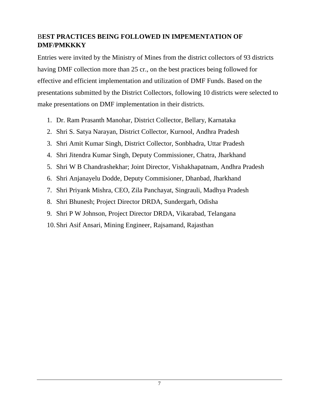### B**EST PRACTICES BEING FOLLOWED IN IMPEMENTATION OF DMF/PMKKKY**

Entries were invited by the Ministry of Mines from the district collectors of 93 districts having DMF collection more than 25 cr., on the best practices being followed for effective and efficient implementation and utilization of DMF Funds. Based on the presentations submitted by the District Collectors, following 10 districts were selected to make presentations on DMF implementation in their districts.

- 1. Dr. Ram Prasanth Manohar, District Collector, Bellary, Karnataka
- 2. Shri S. Satya Narayan, District Collector, Kurnool, Andhra Pradesh
- 3. Shri Amit Kumar Singh, District Collector, Sonbhadra, Uttar Pradesh
- 4. Shri Jitendra Kumar Singh, Deputy Commissioner, Chatra, Jharkhand
- 5. Shri W B Chandrashekhar; Joint Director, Vishakhapatnam, Andhra Pradesh
- 6. Shri Anjanayelu Dodde, Deputy Commisioner, Dhanbad, Jharkhand
- 7. Shri Priyank Mishra, CEO, Zila Panchayat, Singrauli, Madhya Pradesh
- 8. Shri Bhunesh; Project Director DRDA, Sundergarh, Odisha
- 9. Shri P W Johnson, Project Director DRDA, Vikarabad, Telangana
- 10.Shri Asif Ansari, Mining Engineer, Rajsamand, Rajasthan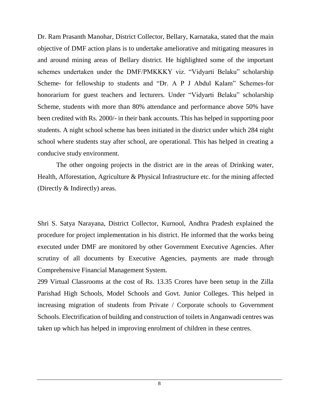Dr. Ram Prasanth Manohar, District Collector, Bellary, Karnataka, stated that the main objective of DMF action plans is to undertake ameliorative and mitigating measures in and around mining areas of Bellary district. He highlighted some of the important schemes undertaken under the DMF/PMKKKY viz. "Vidyarti Belaku" scholarship Scheme- for fellowship to students and "Dr. A P J Abdul Kalam" Schemes-for honorarium for guest teachers and lecturers. Under "Vidyarti Belaku" scholarship Scheme, students with more than 80% attendance and performance above 50% have been credited with Rs. 2000/- in their bank accounts. This has helped in supporting poor students. A night school scheme has been initiated in the district under which 284 night school where students stay after school, are operational. This has helped in creating a conducive study environment.

The other ongoing projects in the district are in the areas of Drinking water, Health, Afforestation, Agriculture & Physical Infrastructure etc. for the mining affected (Directly & Indirectly) areas.

Shri S. Satya Narayana, District Collector, Kurnool, Andhra Pradesh explained the procedure for project implementation in his district. He informed that the works being executed under DMF are monitored by other Government Executive Agencies. After scrutiny of all documents by Executive Agencies, payments are made through Comprehensive Financial Management System.

299 Virtual Classrooms at the cost of Rs. 13.35 Crores have been setup in the Zilla Parishad High Schools, Model Schools and Govt. Junior Colleges. This helped in increasing migration of students from Private / Corporate schools to Government Schools. Electrification of building and construction of toilets in Anganwadi centres was taken up which has helped in improving enrolment of children in these centres.

8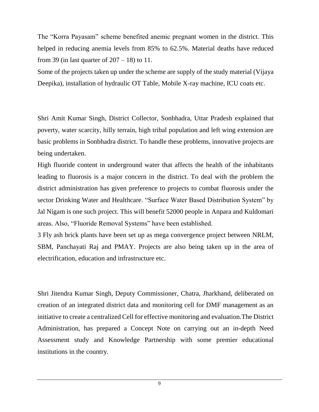The "Korra Payasam" scheme benefited anemic pregnant women in the district. This helped in reducing anemia levels from 85% to 62.5%. Material deaths have reduced from 39 (in last quarter of  $207 - 18$ ) to 11.

Some of the projects taken up under the scheme are supply of the study material (Vijaya Deepika), installation of hydraulic OT Table, Mobile X-ray machine, ICU coats etc.

Shri Amit Kumar Singh, District Collector, Sonbhadra, Uttar Pradesh explained that poverty, water scarcity, hilly terrain, high tribal population and left wing extension are basic problems in Sonbhadra district. To handle these problems, innovative projects are being undertaken.

High fluoride content in underground water that affects the health of the inhabitants leading to fluorosis is a major concern in the district. To deal with the problem the district administration has given preference to projects to combat fluorosis under the sector Drinking Water and Healthcare. "Surface Water Based Distribution System" by Jal Nigam is one such project. This will benefit 52000 people in Anpara and Kuldomari areas. Also, "Fluoride Removal Systems" have been established.

3 Fly ash brick plants have been set up as mega convergence project between NRLM, SBM, Panchayati Raj and PMAY. Projects are also being taken up in the area of electrification, education and infrastructure etc.

Shri Jitendra Kumar Singh, Deputy Commissioner, Chatra, Jharkhand, deliberated on creation of an integrated district data and monitoring cell for DMF management as an initiative to create a centralized Cell for effective monitoring and evaluation.The District Administration, has prepared a Concept Note on carrying out an in-depth Need Assessment study and Knowledge Partnership with some premier educational institutions in the country.

9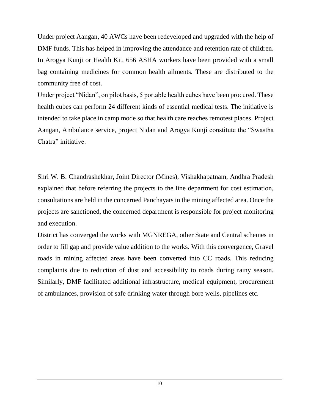Under project Aangan, 40 AWCs have been redeveloped and upgraded with the help of DMF funds. This has helped in improving the attendance and retention rate of children. In Arogya Kunji or Health Kit, 656 ASHA workers have been provided with a small bag containing medicines for common health ailments. These are distributed to the community free of cost.

Under project "Nidan", on pilot basis, 5 portable health cubes have been procured. These health cubes can perform 24 different kinds of essential medical tests. The initiative is intended to take place in camp mode so that health care reaches remotest places. Project Aangan, Ambulance service, project Nidan and Arogya Kunji constitute the "Swastha Chatra" initiative.

Shri W. B. Chandrashekhar, Joint Director (Mines), Vishakhapatnam, Andhra Pradesh explained that before referring the projects to the line department for cost estimation, consultations are held in the concerned Panchayats in the mining affected area. Once the projects are sanctioned, the concerned department is responsible for project monitoring and execution.

District has converged the works with MGNREGA, other State and Central schemes in order to fill gap and provide value addition to the works. With this convergence, Gravel roads in mining affected areas have been converted into CC roads. This reducing complaints due to reduction of dust and accessibility to roads during rainy season. Similarly, DMF facilitated additional infrastructure, medical equipment, procurement of ambulances, provision of safe drinking water through bore wells, pipelines etc.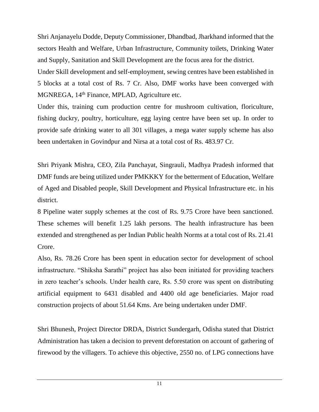Shri Anjanayelu Dodde, Deputy Commissioner, Dhandbad, Jharkhand informed that the sectors Health and Welfare, Urban Infrastructure, Community toilets, Drinking Water and Supply, Sanitation and Skill Development are the focus area for the district.

Under Skill development and self-employment, sewing centres have been established in 5 blocks at a total cost of Rs. 7 Cr. Also, DMF works have been converged with MGNREGA, 14th Finance, MPLAD, Agriculture etc.

Under this, training cum production centre for mushroom cultivation, floriculture, fishing duckry, poultry, horticulture, egg laying centre have been set up. In order to provide safe drinking water to all 301 villages, a mega water supply scheme has also been undertaken in Govindpur and Nirsa at a total cost of Rs. 483.97 Cr.

Shri Priyank Mishra, CEO, Zila Panchayat, Singrauli, Madhya Pradesh informed that DMF funds are being utilized under PMKKKY for the betterment of Education, Welfare of Aged and Disabled people, Skill Development and Physical Infrastructure etc. in his district.

8 Pipeline water supply schemes at the cost of Rs. 9.75 Crore have been sanctioned. These schemes will benefit 1.25 lakh persons. The health infrastructure has been extended and strengthened as per Indian Public health Norms at a total cost of Rs. 21.41 Crore.

Also, Rs. 78.26 Crore has been spent in education sector for development of school infrastructure. "Shiksha Sarathi" project has also been initiated for providing teachers in zero teacher's schools. Under health care, Rs. 5.50 crore was spent on distributing artificial equipment to 6431 disabled and 4400 old age beneficiaries. Major road construction projects of about 51.64 Kms. Are being undertaken under DMF.

Shri Bhunesh, Project Director DRDA, District Sundergarh, Odisha stated that District Administration has taken a decision to prevent deforestation on account of gathering of firewood by the villagers. To achieve this objective, 2550 no. of LPG connections have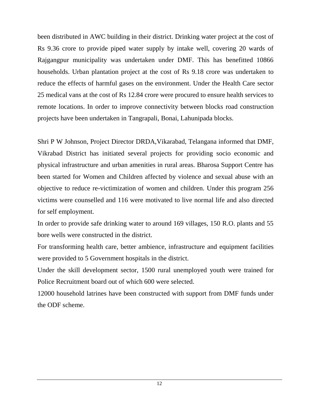been distributed in AWC building in their district. Drinking water project at the cost of Rs 9.36 crore to provide piped water supply by intake well, covering 20 wards of Rajgangpur municipality was undertaken under DMF. This has benefitted 10866 households. Urban plantation project at the cost of Rs 9.18 crore was undertaken to reduce the effects of harmful gases on the environment. Under the Health Care sector 25 medical vans at the cost of Rs 12.84 crore were procured to ensure health services to remote locations. In order to improve connectivity between blocks road construction projects have been undertaken in Tangrapali, Bonai, Lahunipada blocks.

Shri P W Johnson, Project Director DRDA,Vikarabad, Telangana informed that DMF, Vikrabad District has initiated several projects for providing socio economic and physical infrastructure and urban amenities in rural areas. Bharosa Support Centre has been started for Women and Children affected by violence and sexual abuse with an objective to reduce re-victimization of women and children. Under this program 256 victims were counselled and 116 were motivated to live normal life and also directed for self employment.

In order to provide safe drinking water to around 169 villages, 150 R.O. plants and 55 bore wells were constructed in the district.

For transforming health care, better ambience, infrastructure and equipment facilities were provided to 5 Government hospitals in the district.

Under the skill development sector, 1500 rural unemployed youth were trained for Police Recruitment board out of which 600 were selected.

12000 household latrines have been constructed with support from DMF funds under the ODF scheme.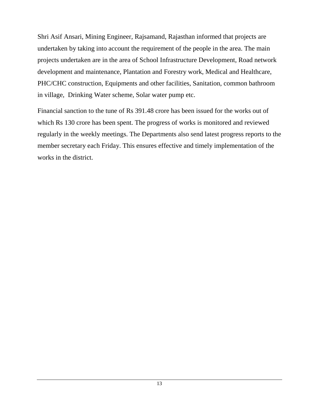Shri Asif Ansari, Mining Engineer, Rajsamand, Rajasthan informed that projects are undertaken by taking into account the requirement of the people in the area. The main projects undertaken are in the area of School Infrastructure Development, Road network development and maintenance, Plantation and Forestry work, Medical and Healthcare, PHC/CHC construction, Equipments and other facilities, Sanitation, common bathroom in village, Drinking Water scheme, Solar water pump etc.

Financial sanction to the tune of Rs 391.48 crore has been issued for the works out of which Rs 130 crore has been spent. The progress of works is monitored and reviewed regularly in the weekly meetings. The Departments also send latest progress reports to the member secretary each Friday. This ensures effective and timely implementation of the works in the district.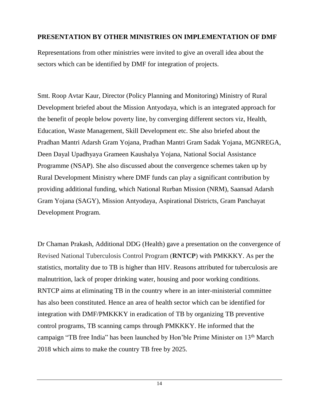### **PRESENTATION BY OTHER MINISTRIES ON IMPLEMENTATION OF DMF**

Representations from other ministries were invited to give an overall idea about the sectors which can be identified by DMF for integration of projects.

Smt. Roop Avtar Kaur, Director (Policy Planning and Monitoring) Ministry of Rural Development briefed about the Mission Antyodaya, which is an integrated approach for the benefit of people below poverty line, by converging different sectors viz, Health, Education, Waste Management, Skill Development etc. She also briefed about the Pradhan Mantri Adarsh Gram Yojana, Pradhan Mantri Gram Sadak Yojana, MGNREGA, Deen Dayal Upadhyaya Grameen Kaushalya Yojana, National Social Assistance Programme (NSAP). She also discussed about the convergence schemes taken up by Rural Development Ministry where DMF funds can play a significant contribution by providing additional funding, which National Rurban Mission (NRM), Saansad Adarsh Gram Yojana (SAGY), Mission Antyodaya, Aspirational Districts, Gram Panchayat Development Program.

Dr Chaman Prakash, Additional DDG (Health) gave a presentation on the convergence of Revised National Tuberculosis Control Program (**RNTCP**) with PMKKKY. As per the statistics, mortality due to TB is higher than HIV. Reasons attributed for tuberculosis are malnutrition, lack of proper drinking water, housing and poor working conditions. RNTCP aims at eliminating TB in the country where in an inter-ministerial committee has also been constituted. Hence an area of health sector which can be identified for integration with DMF/PMKKKY in eradication of TB by organizing TB preventive control programs, TB scanning camps through PMKKKY. He informed that the campaign "TB free India" has been launched by Hon'ble Prime Minister on 13th March 2018 which aims to make the country TB free by 2025.

14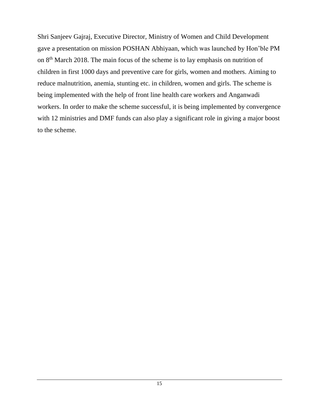Shri Sanjeev Gajraj, Executive Director, Ministry of Women and Child Development gave a presentation on mission POSHAN Abhiyaan, which was launched by Hon'ble PM on 8th March 2018. The main focus of the scheme is to lay emphasis on nutrition of children in first 1000 days and preventive care for girls, women and mothers. Aiming to reduce malnutrition, anemia, stunting etc. in children, women and girls. The scheme is being implemented with the help of front line health care workers and Anganwadi workers. In order to make the scheme successful, it is being implemented by convergence with 12 ministries and DMF funds can also play a significant role in giving a major boost to the scheme.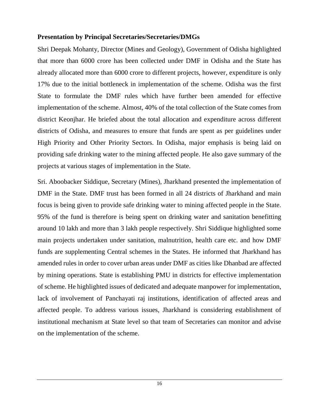#### **Presentation by Principal Secretaries/Secretaries/DMGs**

Shri Deepak Mohanty, Director (Mines and Geology), Government of Odisha highlighted that more than 6000 crore has been collected under DMF in Odisha and the State has already allocated more than 6000 crore to different projects, however, expenditure is only 17% due to the initial bottleneck in implementation of the scheme. Odisha was the first State to formulate the DMF rules which have further been amended for effective implementation of the scheme. Almost, 40% of the total collection of the State comes from district Keonjhar. He briefed about the total allocation and expenditure across different districts of Odisha, and measures to ensure that funds are spent as per guidelines under High Priority and Other Priority Sectors. In Odisha, major emphasis is being laid on providing safe drinking water to the mining affected people. He also gave summary of the projects at various stages of implementation in the State.

Sri. Aboobacker Siddique, Secretary (Mines), Jharkhand presented the implementation of DMF in the State. DMF trust has been formed in all 24 districts of Jharkhand and main focus is being given to provide safe drinking water to mining affected people in the State. 95% of the fund is therefore is being spent on drinking water and sanitation benefitting around 10 lakh and more than 3 lakh people respectively. Shri Siddique highlighted some main projects undertaken under sanitation, malnutrition, health care etc. and how DMF funds are supplementing Central schemes in the States. He informed that Jharkhand has amended rules in order to cover urban areas under DMF as cities like Dhanbad are affected by mining operations. State is establishing PMU in districts for effective implementation of scheme. He highlighted issues of dedicated and adequate manpower for implementation, lack of involvement of Panchayati raj institutions, identification of affected areas and affected people. To address various issues, Jharkhand is considering establishment of institutional mechanism at State level so that team of Secretaries can monitor and advise on the implementation of the scheme.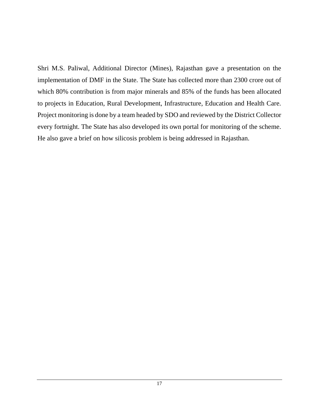Shri M.S. Paliwal, Additional Director (Mines), Rajasthan gave a presentation on the implementation of DMF in the State. The State has collected more than 2300 crore out of which 80% contribution is from major minerals and 85% of the funds has been allocated to projects in Education, Rural Development, Infrastructure, Education and Health Care. Project monitoring is done by a team headed by SDO and reviewed by the District Collector every fortnight. The State has also developed its own portal for monitoring of the scheme. He also gave a brief on how silicosis problem is being addressed in Rajasthan.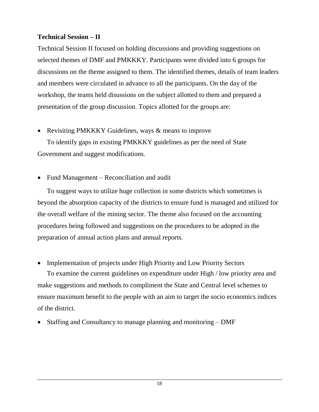### **Technical Session – II**

Technical Session II focused on holding discussions and providing suggestions on selected themes of DMF and PMKKKY. Participants were divided into 6 groups for discussions on the theme assigned to them. The identified themes, details of team leaders and members were circulated in advance to all the participants. On the day of the workshop, the teams held disussions on the subject allotted to them and prepared a presentation of the group discussion. Topics allotted for the groups are:

Revisiting PMKKKY Guidelines, ways & means to improve

To identify gaps in existing PMKKKY guidelines as per the need of State Government and suggest modifications.

• Fund Management – Reconciliation and audit

To suggest ways to utilize huge collection in some districts which sometimes is beyond the absorption capacity of the districts to ensure fund is managed and utilized for the overall welfare of the mining sector. The theme also focused on the accounting procedures being followed and suggestions on the procedures to be adopted in the preparation of annual action plans and annual reports.

• Implementation of projects under High Priority and Low Priority Sectors

To examine the current guidelines on expenditure under High / low priority area and make suggestions and methods to compliment the State and Central level schemes to ensure maximum benefit to the people with an aim to target the socio economics indices of the district.

Staffing and Consultancy to manage planning and monitoring – DMF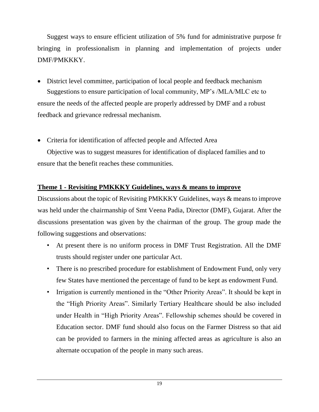Suggest ways to ensure efficient utilization of 5% fund for administrative purpose fr bringing in professionalism in planning and implementation of projects under DMF/PMKKKY.

- District level committee, participation of local people and feedback mechanism Suggestions to ensure participation of local community, MP's /MLA/MLC etc to ensure the needs of the affected people are properly addressed by DMF and a robust feedback and grievance redressal mechanism.
- Criteria for identification of affected people and Affected Area

Objective was to suggest measures for identification of displaced families and to ensure that the benefit reaches these communities.

### **Theme 1 - Revisiting PMKKKY Guidelines, ways & means to improve**

Discussions about the topic of Revisiting PMKKKY Guidelines, ways & means to improve was held under the chairmanship of Smt Veena Padia, Director (DMF), Gujarat. After the discussions presentation was given by the chairman of the group. The group made the following suggestions and observations:

- At present there is no uniform process in DMF Trust Registration. All the DMF trusts should register under one particular Act.
- There is no prescribed procedure for establishment of Endowment Fund, only very few States have mentioned the percentage of fund to be kept as endowment Fund.
- Irrigation is currently mentioned in the "Other Priority Areas". It should be kept in the "High Priority Areas". Similarly Tertiary Healthcare should be also included under Health in "High Priority Areas". Fellowship schemes should be covered in Education sector. DMF fund should also focus on the Farmer Distress so that aid can be provided to farmers in the mining affected areas as agriculture is also an alternate occupation of the people in many such areas.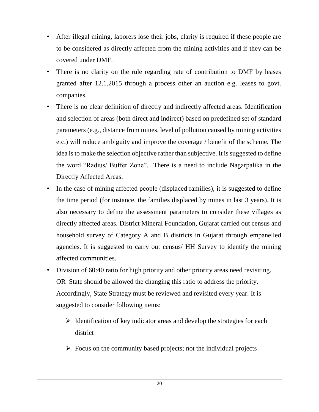- After illegal mining, laborers lose their jobs, clarity is required if these people are to be considered as directly affected from the mining activities and if they can be covered under DMF.
- There is no clarity on the rule regarding rate of contribution to DMF by leases granted after 12.1.2015 through a process other an auction e.g. leases to govt. companies.
- There is no clear definition of directly and indirectly affected areas. Identification and selection of areas (both direct and indirect) based on predefined set of standard parameters (e.g., distance from mines, level of pollution caused by mining activities etc.) will reduce ambiguity and improve the coverage / benefit of the scheme. The idea is to make the selection objective rather than subjective. It is suggested to define the word "Radius/ Buffer Zone". There is a need to include Nagarpalika in the Directly Affected Areas.
- In the case of mining affected people (displaced families), it is suggested to define the time period (for instance, the families displaced by mines in last 3 years). It is also necessary to define the assessment parameters to consider these villages as directly affected areas. District Mineral Foundation, Gujarat carried out census and household survey of Category A and B districts in Gujarat through empanelled agencies. It is suggested to carry out census/ HH Survey to identify the mining affected communities.
- Division of 60:40 ratio for high priority and other priority areas need revisiting. OR State should be allowed the changing this ratio to address the priority. Accordingly, State Strategy must be reviewed and revisited every year. It is suggested to consider following items:
	- $\triangleright$  Identification of key indicator areas and develop the strategies for each district
	- $\triangleright$  Focus on the community based projects; not the individual projects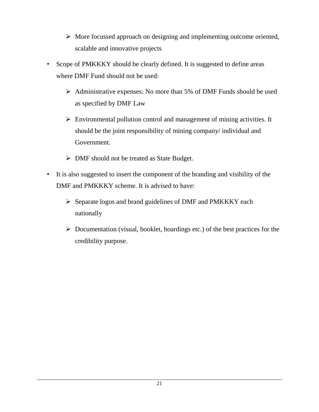- $\triangleright$  More focussed approach on designing and implementing outcome oriented, scalable and innovative projects
- Scope of PMKKKY should be clearly defined. It is suggested to define areas where DMF Fund should not be used:
	- $\triangleright$  Administrative expenses: No more than 5% of DMF Funds should be used as specified by DMF Law
	- $\triangleright$  Environmental pollution control and management of mining activities. It should be the joint responsibility of mining company/ individual and Government.
	- > DMF should not be treated as State Budget.
- It is also suggested to insert the component of the branding and visibility of the DMF and PMKKKY scheme. It is advised to have:
	- $\triangleright$  Separate logos and brand guidelines of DMF and PMKKKY each nationally
	- $\triangleright$  Documentation (visual, booklet, hoardings etc.) of the best practices for the credibility purpose.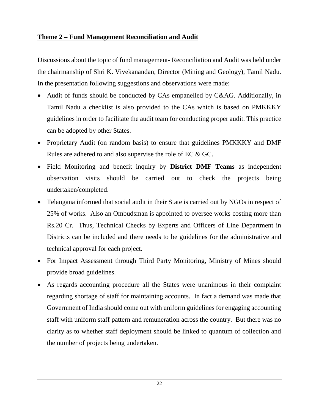#### **Theme 2 – Fund Management Reconciliation and Audit**

Discussions about the topic of fund management- Reconciliation and Audit was held under the chairmanship of Shri K. Vivekanandan, Director (Mining and Geology), Tamil Nadu. In the presentation following suggestions and observations were made:

- Audit of funds should be conducted by CAs empanelled by C&AG. Additionally, in Tamil Nadu a checklist is also provided to the CAs which is based on PMKKKY guidelines in order to facilitate the audit team for conducting proper audit. This practice can be adopted by other States.
- Proprietary Audit (on random basis) to ensure that guidelines PMKKKY and DMF Rules are adhered to and also supervise the role of EC & GC.
- Field Monitoring and benefit inquiry by **District DMF Teams** as independent observation visits should be carried out to check the projects being undertaken/completed.
- Telangana informed that social audit in their State is carried out by NGOs in respect of 25% of works. Also an Ombudsman is appointed to oversee works costing more than Rs.20 Cr. Thus, Technical Checks by Experts and Officers of Line Department in Districts can be included and there needs to be guidelines for the administrative and technical approval for each project.
- For Impact Assessment through Third Party Monitoring, Ministry of Mines should provide broad guidelines.
- As regards accounting procedure all the States were unanimous in their complaint regarding shortage of staff for maintaining accounts. In fact a demand was made that Government of India should come out with uniform guidelines for engaging accounting staff with uniform staff pattern and remuneration across the country. But there was no clarity as to whether staff deployment should be linked to quantum of collection and the number of projects being undertaken.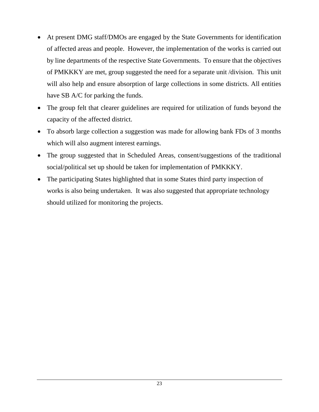- At present DMG staff/DMOs are engaged by the State Governments for identification of affected areas and people. However, the implementation of the works is carried out by line departments of the respective State Governments. To ensure that the objectives of PMKKKY are met, group suggested the need for a separate unit /division. This unit will also help and ensure absorption of large collections in some districts. All entities have SB A/C for parking the funds.
- The group felt that clearer guidelines are required for utilization of funds beyond the capacity of the affected district.
- To absorb large collection a suggestion was made for allowing bank FDs of 3 months which will also augment interest earnings.
- The group suggested that in Scheduled Areas, consent/suggestions of the traditional social/political set up should be taken for implementation of PMKKKY.
- The participating States highlighted that in some States third party inspection of works is also being undertaken. It was also suggested that appropriate technology should utilized for monitoring the projects.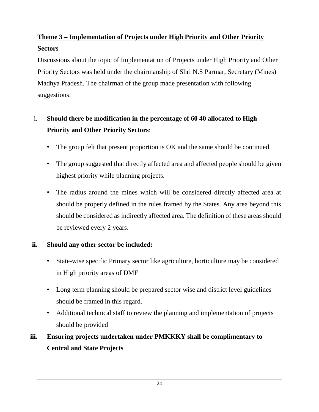### **Theme 3 – Implementation of Projects under High Priority and Other Priority Sectors**

Discussions about the topic of Implementation of Projects under High Priority and Other Priority Sectors was held under the chairmanship of Shri N.S Parmar, Secretary (Mines) Madhya Pradesh. The chairman of the group made presentation with following suggestions:

### i. **Should there be modification in the percentage of 60 40 allocated to High Priority and Other Priority Sectors**:

- The group felt that present proportion is OK and the same should be continued.
- The group suggested that directly affected area and affected people should be given highest priority while planning projects.
- The radius around the mines which will be considered directly affected area at should be properly defined in the rules framed by the States. Any area beyond this should be considered as indirectly affected area. The definition of these areas should be reviewed every 2 years.

### **ii. Should any other sector be included:**

- State-wise specific Primary sector like agriculture, horticulture may be considered in High priority areas of DMF
- Long term planning should be prepared sector wise and district level guidelines should be framed in this regard.
- Additional technical staff to review the planning and implementation of projects should be provided

### **iii. Ensuring projects undertaken under PMKKKY shall be complimentary to Central and State Projects**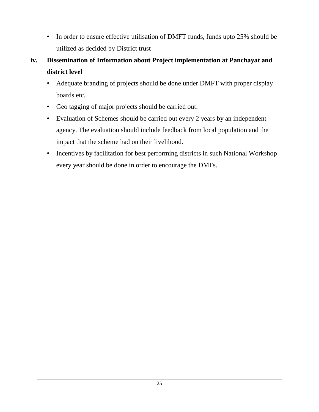- In order to ensure effective utilisation of DMFT funds, funds upto 25% should be utilized as decided by District trust
- **iv. Dissemination of Information about Project implementation at Panchayat and district level**
	- Adequate branding of projects should be done under DMFT with proper display boards etc.
	- Geo tagging of major projects should be carried out.
	- Evaluation of Schemes should be carried out every 2 years by an independent agency. The evaluation should include feedback from local population and the impact that the scheme had on their livelihood.
	- Incentives by facilitation for best performing districts in such National Workshop every year should be done in order to encourage the DMFs.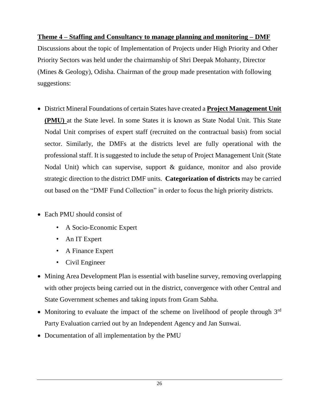### **Theme 4 – Staffing and Consultancy to manage planning and monitoring – DMF**

Discussions about the topic of Implementation of Projects under High Priority and Other Priority Sectors was held under the chairmanship of Shri Deepak Mohanty, Director (Mines & Geology), Odisha. Chairman of the group made presentation with following suggestions:

- District Mineral Foundations of certain States have created a **Project Management Unit (PMU)** at the State level. In some States it is known as State Nodal Unit. This State Nodal Unit comprises of expert staff (recruited on the contractual basis) from social sector. Similarly, the DMFs at the districts level are fully operational with the professional staff. It is suggested to include the setup of Project Management Unit (State Nodal Unit) which can supervise, support & guidance, monitor and also provide strategic direction to the district DMF units. **Categorization of districts** may be carried out based on the "DMF Fund Collection" in order to focus the high priority districts.
- Each PMU should consist of
	- A Socio-Economic Expert
	- An IT Expert
	- A Finance Expert
	- Civil Engineer
- Mining Area Development Plan is essential with baseline survey, removing overlapping with other projects being carried out in the district, convergence with other Central and State Government schemes and taking inputs from Gram Sabha.
- Monitoring to evaluate the impact of the scheme on livelihood of people through  $3<sup>rd</sup>$ Party Evaluation carried out by an Independent Agency and Jan Sunwai.
- Documentation of all implementation by the PMU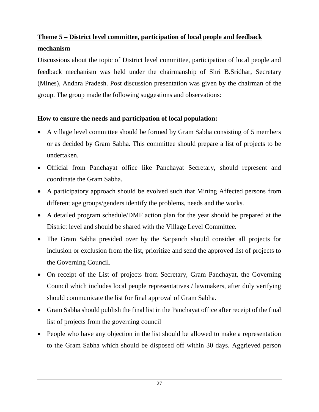### **Theme 5 – District level committee, participation of local people and feedback mechanism**

Discussions about the topic of District level committee, participation of local people and feedback mechanism was held under the chairmanship of Shri B.Sridhar, Secretary (Mines), Andhra Pradesh. Post discussion presentation was given by the chairman of the group. The group made the following suggestions and observations:

### **How to ensure the needs and participation of local population:**

- A village level committee should be formed by Gram Sabha consisting of 5 members or as decided by Gram Sabha. This committee should prepare a list of projects to be undertaken.
- Official from Panchayat office like Panchayat Secretary, should represent and coordinate the Gram Sabha.
- A participatory approach should be evolved such that Mining Affected persons from different age groups/genders identify the problems, needs and the works.
- A detailed program schedule/DMF action plan for the year should be prepared at the District level and should be shared with the Village Level Committee.
- The Gram Sabha presided over by the Sarpanch should consider all projects for inclusion or exclusion from the list, prioritize and send the approved list of projects to the Governing Council.
- On receipt of the List of projects from Secretary, Gram Panchayat, the Governing Council which includes local people representatives / lawmakers, after duly verifying should communicate the list for final approval of Gram Sabha.
- Gram Sabha should publish the final list in the Panchayat office after receipt of the final list of projects from the governing council
- People who have any objection in the list should be allowed to make a representation to the Gram Sabha which should be disposed off within 30 days. Aggrieved person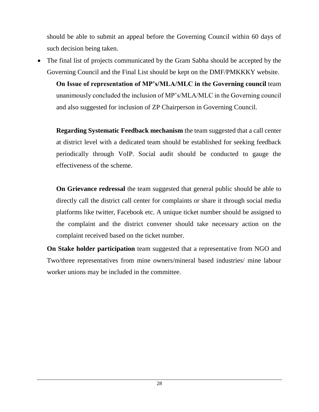should be able to submit an appeal before the Governing Council within 60 days of such decision being taken.

 The final list of projects communicated by the Gram Sabha should be accepted by the Governing Council and the Final List should be kept on the DMF/PMKKKY website.

**On Issue of representation of MP's/MLA/MLC in the Governing council** team unanimously concluded the inclusion of MP's/MLA/MLC in the Governing council and also suggested for inclusion of ZP Chairperson in Governing Council.

**Regarding Systematic Feedback mechanism** the team suggested that a call center at district level with a dedicated team should be established for seeking feedback periodically through VoIP. Social audit should be conducted to gauge the effectiveness of the scheme.

**On Grievance redressal** the team suggested that general public should be able to directly call the district call center for complaints or share it through social media platforms like twitter, Facebook etc. A unique ticket number should be assigned to the complaint and the district convener should take necessary action on the complaint received based on the ticket number.

**On Stake holder participation** team suggested that a representative from NGO and Two/three representatives from mine owners/mineral based industries/ mine labour worker unions may be included in the committee.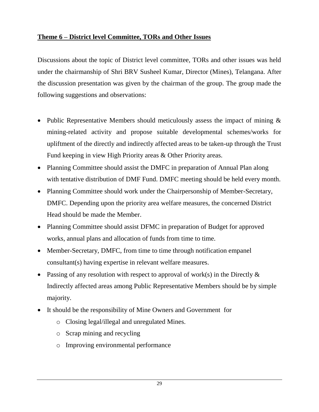### **Theme 6 – District level Committee, TORs and Other Issues**

Discussions about the topic of District level committee, TORs and other issues was held under the chairmanship of Shri BRV Susheel Kumar, Director (Mines), Telangana. After the discussion presentation was given by the chairman of the group. The group made the following suggestions and observations:

- Public Representative Members should meticulously assess the impact of mining  $\&$ mining-related activity and propose suitable developmental schemes/works for upliftment of the directly and indirectly affected areas to be taken-up through the Trust Fund keeping in view High Priority areas & Other Priority areas.
- Planning Committee should assist the DMFC in preparation of Annual Plan along with tentative distribution of DMF Fund. DMFC meeting should be held every month.
- Planning Committee should work under the Chairpersonship of Member-Secretary, DMFC. Depending upon the priority area welfare measures, the concerned District Head should be made the Member.
- Planning Committee should assist DFMC in preparation of Budget for approved works, annual plans and allocation of funds from time to time.
- Member-Secretary, DMFC, from time to time through notification empanel consultant(s) having expertise in relevant welfare measures.
- Passing of any resolution with respect to approval of work(s) in the Directly  $\&$ Indirectly affected areas among Public Representative Members should be by simple majority.
- It should be the responsibility of Mine Owners and Government for
	- o Closing legal/illegal and unregulated Mines.
	- o Scrap mining and recycling
	- o Improving environmental performance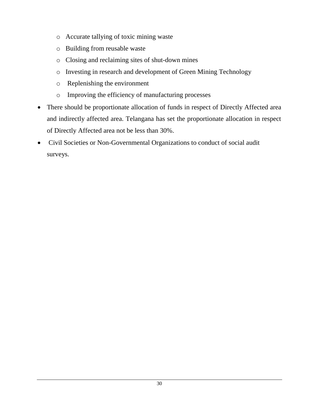- o Accurate tallying of toxic mining waste
- o Building from reusable waste
- o Closing and reclaiming sites of shut-down mines
- o Investing in research and development of Green Mining Technology
- o Replenishing the environment
- o Improving the efficiency of manufacturing processes
- There should be proportionate allocation of funds in respect of Directly Affected area and indirectly affected area. Telangana has set the proportionate allocation in respect of Directly Affected area not be less than 30%.
- Civil Societies or Non-Governmental Organizations to conduct of social audit surveys.